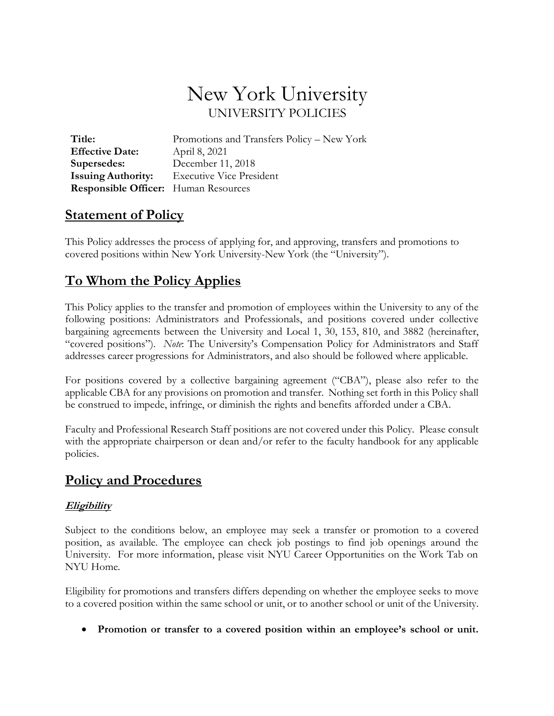# New York University UNIVERSITY POLICIES

| Title:                                      | Promotions and Transfers Policy - New York |
|---------------------------------------------|--------------------------------------------|
| <b>Effective Date:</b>                      | April 8, 2021                              |
| Supersedes:                                 | December 11, 2018                          |
| <b>Issuing Authority:</b>                   | <b>Executive Vice President</b>            |
| <b>Responsible Officer:</b> Human Resources |                                            |

## **Statement of Policy**

This Policy addresses the process of applying for, and approving, transfers and promotions to covered positions within New York University-New York (the "University").

# **To Whom the Policy Applies**

This Policy applies to the transfer and promotion of employees within the University to any of the following positions: Administrators and Professionals, and positions covered under collective bargaining agreements between the University and Local 1, 30, 153, 810, and 3882 (hereinafter, "covered positions"). *Note*: The University's Compensation Policy for Administrators and Staff addresses career progressions for Administrators, and also should be followed where applicable.

For positions covered by a collective bargaining agreement ("CBA"), please also refer to the applicable CBA for any provisions on promotion and transfer. Nothing set forth in this Policy shall be construed to impede, infringe, or diminish the rights and benefits afforded under a CBA.

Faculty and Professional Research Staff positions are not covered under this Policy. Please consult with the appropriate chairperson or dean and/or refer to the faculty handbook for any applicable policies.

## **Policy and Procedures**

#### **Eligibility**

Subject to the conditions below, an employee may seek a transfer or promotion to a covered position, as available. The employee can check job postings to find job openings around the University. For more information, please visit NYU Career Opportunities on the Work Tab on NYU Home.

Eligibility for promotions and transfers differs depending on whether the employee seeks to move to a covered position within the same school or unit, or to another school or unit of the University.

• **Promotion or transfer to a covered position within an employee's school or unit.**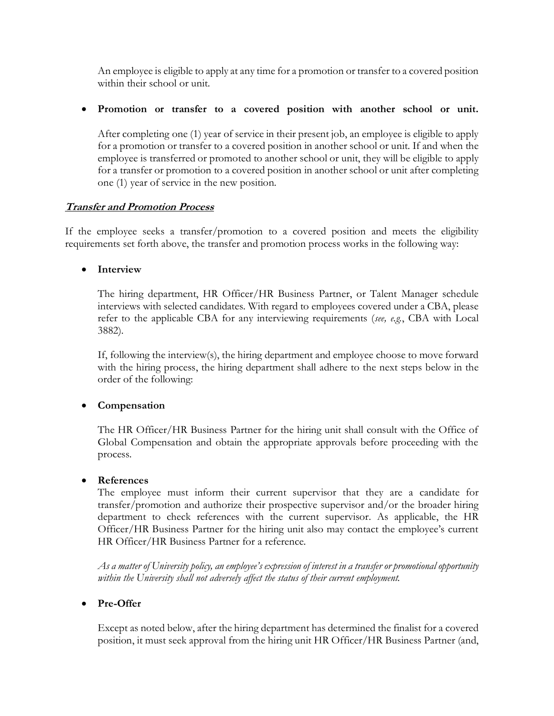An employee is eligible to apply at any time for a promotion or transfer to a covered position within their school or unit.

• **Promotion or transfer to a covered position with another school or unit.**

After completing one (1) year of service in their present job, an employee is eligible to apply for a promotion or transfer to a covered position in another school or unit. If and when the employee is transferred or promoted to another school or unit, they will be eligible to apply for a transfer or promotion to a covered position in another school or unit after completing one (1) year of service in the new position.

#### **Transfer and Promotion Process**

If the employee seeks a transfer/promotion to a covered position and meets the eligibility requirements set forth above, the transfer and promotion process works in the following way:

#### • **Interview**

The hiring department, HR Officer/HR Business Partner, or Talent Manager schedule interviews with selected candidates. With regard to employees covered under a CBA, please refer to the applicable CBA for any interviewing requirements (*see, e.g.*, CBA with Local 3882).

If, following the interview(s), the hiring department and employee choose to move forward with the hiring process, the hiring department shall adhere to the next steps below in the order of the following:

#### • **Compensation**

The HR Officer/HR Business Partner for the hiring unit shall consult with the Office of Global Compensation and obtain the appropriate approvals before proceeding with the process.

#### • **References**

The employee must inform their current supervisor that they are a candidate for transfer/promotion and authorize their prospective supervisor and/or the broader hiring department to check references with the current supervisor. As applicable, the HR Officer/HR Business Partner for the hiring unit also may contact the employee's current HR Officer/HR Business Partner for a reference.

As a matter of University policy, an employee's expression of interest in a transfer or promotional opportunity *within the University shall not adversely affect the status of their current employment.*

#### • **Pre-Offer**

Except as noted below, after the hiring department has determined the finalist for a covered position, it must seek approval from the hiring unit HR Officer/HR Business Partner (and,